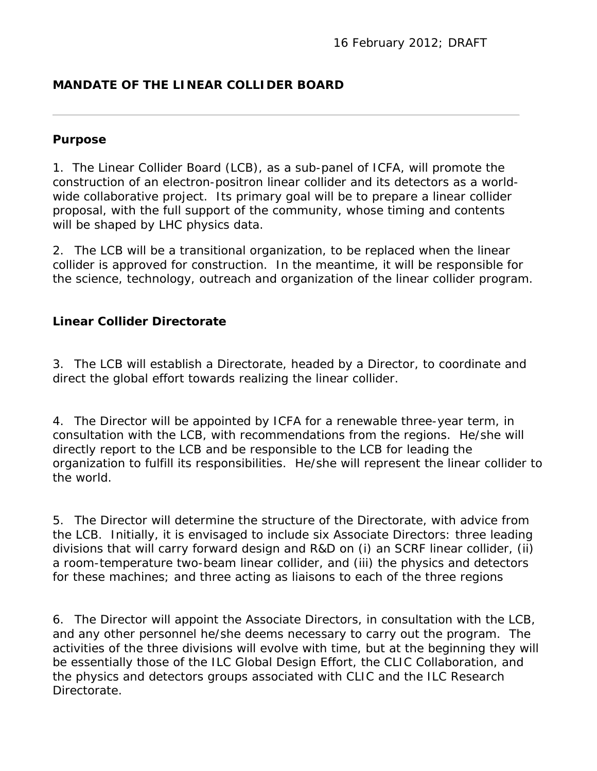# **MANDATE OF THE LINEAR COLLIDER BOARD**

### **Purpose**

1. The Linear Collider Board (LCB), as a sub-panel of ICFA, will promote the construction of an electron-positron linear collider and its detectors as a worldwide collaborative project. Its primary goal will be to prepare a linear collider proposal, with the full support of the community, whose timing and contents will be shaped by LHC physics data.

2. The LCB will be a transitional organization, to be replaced when the linear collider is approved for construction. In the meantime, it will be responsible for the science, technology, outreach and organization of the linear collider program.

## **Linear Collider Directorate**

3. The LCB will establish a Directorate, headed by a Director, to coordinate and direct the global effort towards realizing the linear collider.

4. The Director will be appointed by ICFA for a renewable three-year term, in consultation with the LCB, with recommendations from the regions. He/she will directly report to the LCB and be responsible to the LCB for leading the organization to fulfill its responsibilities. He/she will represent the linear collider to the world.

5. The Director will determine the structure of the Directorate, with advice from the LCB. Initially, it is envisaged to include six Associate Directors: three leading divisions that will carry forward design and R&D on (i) an SCRF linear collider, (ii) a room-temperature two-beam linear collider, and (iii) the physics and detectors for these machines; and three acting as liaisons to each of the three regions

6. The Director will appoint the Associate Directors, in consultation with the LCB, and any other personnel he/she deems necessary to carry out the program. The activities of the three divisions will evolve with time, but at the beginning they will be essentially those of the ILC Global Design Effort, the CLIC Collaboration, and the physics and detectors groups associated with CLIC and the ILC Research Directorate.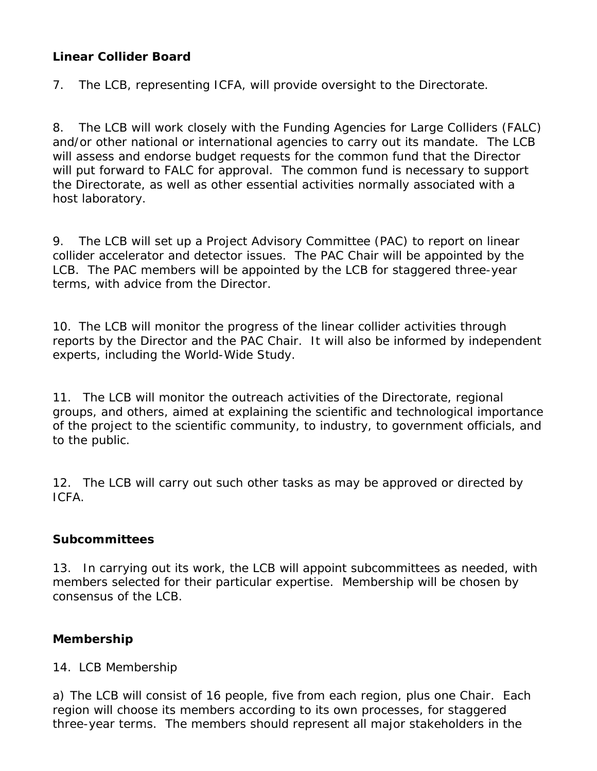## **Linear Collider Board**

7. The LCB, representing ICFA, will provide oversight to the Directorate.

8. The LCB will work closely with the Funding Agencies for Large Colliders (FALC) and/or other national or international agencies to carry out its mandate. The LCB will assess and endorse budget requests for the common fund that the Director will put forward to FALC for approval. The common fund is necessary to support the Directorate, as well as other essential activities normally associated with a host laboratory.

9. The LCB will set up a Project Advisory Committee (PAC) to report on linear collider accelerator and detector issues. The PAC Chair will be appointed by the LCB. The PAC members will be appointed by the LCB for staggered three-year terms, with advice from the Director.

10. The LCB will monitor the progress of the linear collider activities through reports by the Director and the PAC Chair. It will also be informed by independent experts, including the World-Wide Study.

11. The LCB will monitor the outreach activities of the Directorate, regional groups, and others, aimed at explaining the scientific and technological importance of the project to the scientific community, to industry, to government officials, and to the public.

12. The LCB will carry out such other tasks as may be approved or directed by ICFA.

## **Subcommittees**

13. In carrying out its work, the LCB will appoint subcommittees as needed, with members selected for their particular expertise. Membership will be chosen by consensus of the LCB.

## **Membership**

14. LCB Membership

a) The LCB will consist of 16 people, five from each region, plus one Chair. Each region will choose its members according to its own processes, for staggered three-year terms. The members should represent all major stakeholders in the